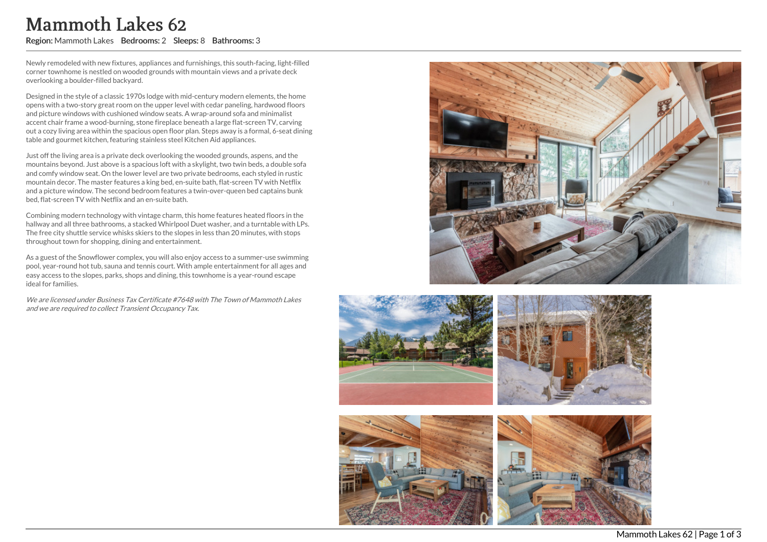## Mammoth Lakes 62

## Region: Mammoth Lakes Bedrooms: 2 Sleeps: 8 Bathrooms: 3

Newly remodeled with new fixtures, appliances and furnishings, this south-facing, light-filled corner townhome is nestled on wooded grounds with mountain views and a private deck overlooking a boulder-filled backyard.

Designed in the style of a classic 1970s lodge with mid-century modern elements, the home opens with a two-story great room on the upper level with cedar paneling, hardwood floors and picture windows with cushioned window seats. A wrap-around sofa and minimalist accent chair frame a wood-burning, stone fireplace beneath a large flat-screen TV, carving out a cozy living area within the spacious open floor plan. Steps away is a formal, 6-seat dining table and gourmet kitchen, featuring stainless steel Kitchen Aid appliances.

Just off the living area is a private deck overlooking the wooded grounds, aspens, and the mountains beyond. Just above is a spacious loft with a skylight, two twin beds, a double sofa and comfy window seat. On the lower level are two private bedrooms, each styled in rustic mountain decor. The master features a king bed, en-suite bath, flat-screen TV with Netflix and a picture window. The second bedroom features a twin-over-queen bed captains bunk bed, flat-screen TV with Netflix and an en-suite bath.

Combining modern technology with vintage charm, this home features heated floors in the hallway and all three bathrooms, a stacked Whirlpool Duet washer, and a turntable with LPs. The free city shuttle service whisks skiers to the slopes in less than 20 minutes, with stops throughout town for shopping, dining and entertainment.

As a guest of the Snowflower complex, you will also enjoy access to a summer-use swimming pool, year-round hot tub, sauna and tennis court. With ample entertainment for all ages and easy access to the slopes, parks, shops and dining, this townhome is a year-round escape ideal for families.

We are licensed under Business Tax Certificate #7648 with The Town of Mammoth Lakes and we are required to collect Transient Occupancy Tax.



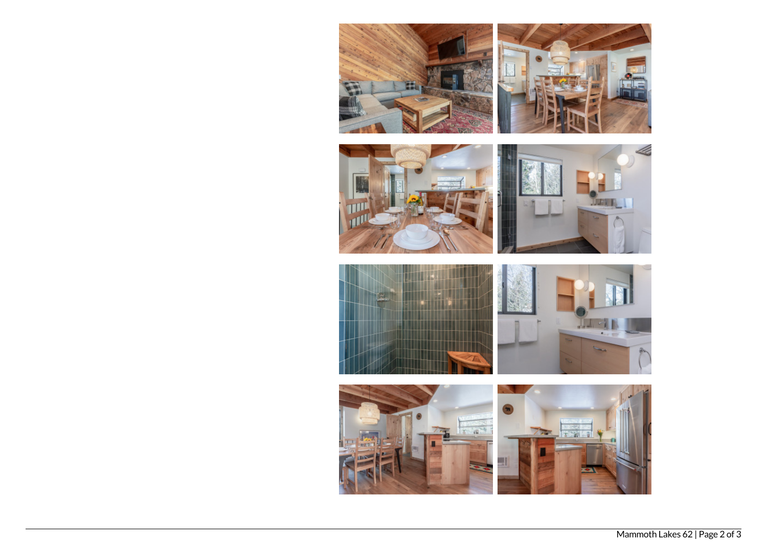